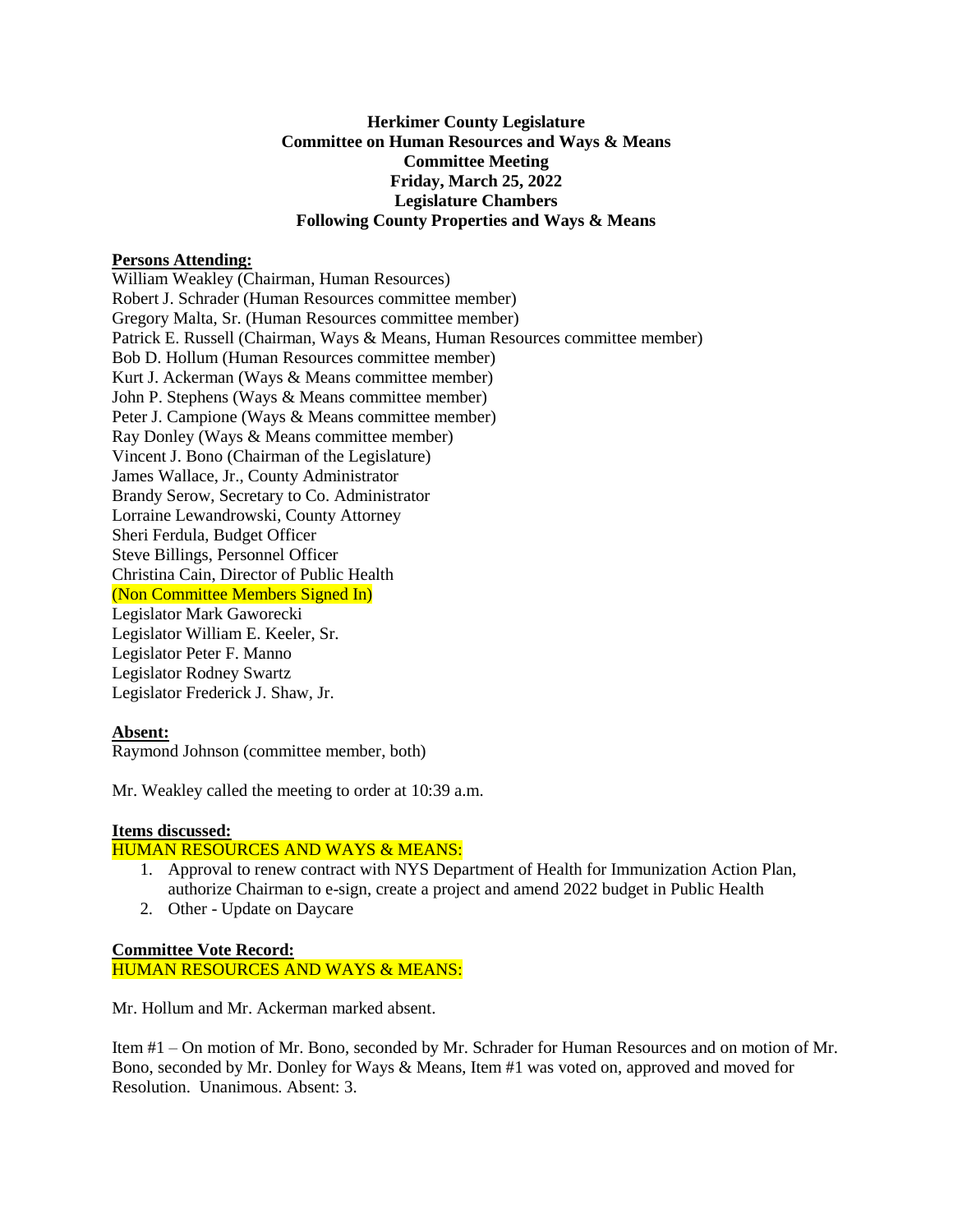# **Herkimer County Legislature Committee on Human Resources and Ways & Means Committee Meeting Friday, March 25, 2022 Legislature Chambers Following County Properties and Ways & Means**

### **Persons Attending:**

William Weakley (Chairman, Human Resources) Robert J. Schrader (Human Resources committee member) Gregory Malta, Sr. (Human Resources committee member) Patrick E. Russell (Chairman, Ways & Means, Human Resources committee member) Bob D. Hollum (Human Resources committee member) Kurt J. Ackerman (Ways & Means committee member) John P. Stephens (Ways & Means committee member) Peter J. Campione (Ways & Means committee member) Ray Donley (Ways & Means committee member) Vincent J. Bono (Chairman of the Legislature) James Wallace, Jr., County Administrator Brandy Serow, Secretary to Co. Administrator Lorraine Lewandrowski, County Attorney Sheri Ferdula, Budget Officer Steve Billings, Personnel Officer Christina Cain, Director of Public Health (Non Committee Members Signed In) Legislator Mark Gaworecki Legislator William E. Keeler, Sr. Legislator Peter F. Manno Legislator Rodney Swartz Legislator Frederick J. Shaw, Jr.

#### **Absent:**

Raymond Johnson (committee member, both)

Mr. Weakley called the meeting to order at 10:39 a.m.

#### **Items discussed:**

# HUMAN RESOURCES AND WAYS & MEANS:

- 1. Approval to renew contract with NYS Department of Health for Immunization Action Plan, authorize Chairman to e-sign, create a project and amend 2022 budget in Public Health
- 2. Other Update on Daycare

**Committee Vote Record:** HUMAN RESOURCES AND WAYS & MEANS:

Mr. Hollum and Mr. Ackerman marked absent.

Item #1 – On motion of Mr. Bono, seconded by Mr. Schrader for Human Resources and on motion of Mr. Bono, seconded by Mr. Donley for Ways & Means, Item #1 was voted on, approved and moved for Resolution. Unanimous. Absent: 3.